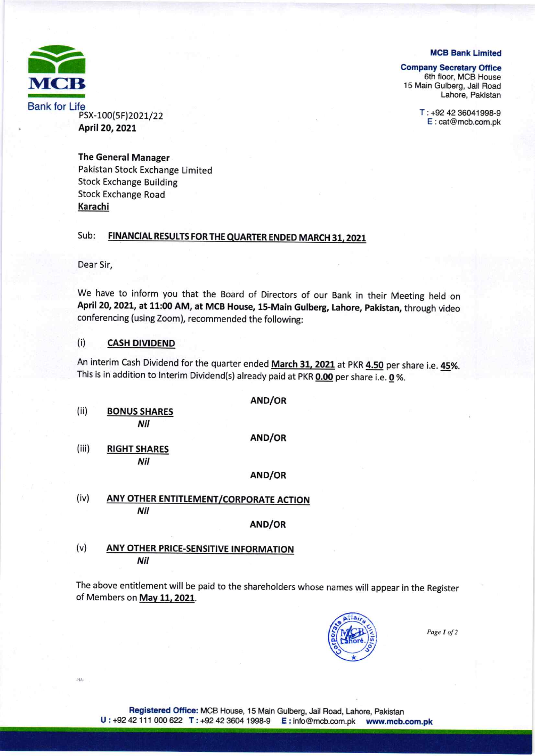**MCB Bank Limited** 



PSX-100(5F)2021/22 April 20, 2021

**Company Secretary Office** 

6th floor, MCB House 15 Main Gulberg, Jail Road Lahore, Pakistan

> T: +92 42 36041998-9 E:cat@mcb.com.pk

**The General Manager** Pakistan Stock Exchange Limited **Stock Exchange Building Stock Exchange Road** Karachi

### Sub: FINANCIAL RESULTS FOR THE QUARTER ENDED MARCH 31, 2021

Dear Sir,

 $<sub>14A</sub>$ </sub>

We have to inform you that the Board of Directors of our Bank in their Meeting held on April 20, 2021, at 11:00 AM, at MCB House, 15-Main Gulberg, Lahore, Pakistan, through video conferencing (using Zoom), recommended the following:

#### $(i)$ **CASH DIVIDEND**

An interim Cash Dividend for the quarter ended March 31, 2021 at PKR 4.50 per share i.e. 45%. This is in addition to Interim Dividend(s) already paid at PKR 0.00 per share i.e. 0 %.

AND/OR  $(ii)$ **BONUS SHARES** Nil AND/OR  $(iii)$ **RIGHT SHARES** Nil AND/OR

 $(iv)$ ANY OTHER ENTITLEMENT/CORPORATE ACTION Nil

AND/OR

## $(v)$ ANY OTHER PRICE-SENSITIVE INFORMATION Nil

The above entitlement will be paid to the shareholders whose names will appear in the Register of Members on May 11, 2021.



Page 1 of 2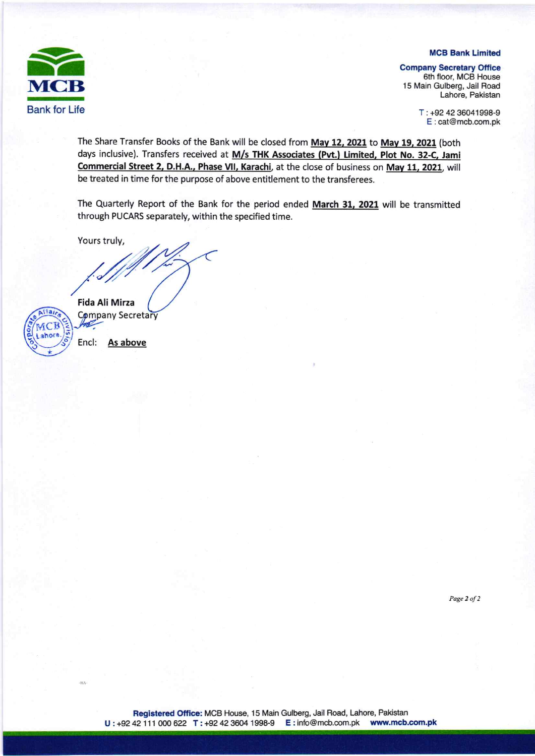## **MCB Bank Limited**



**Company Secretary Office** 

6th floor, MCB House 15 Main Gulberg, Jail Road Lahore, Pakistan

> T: +92 42 36041998-9 E:cat@mcb.com.pk

The Share Transfer Books of the Bank will be closed from May 12, 2021 to May 19, 2021 (both days inclusive). Transfers received at M/s THK Associates (Pvt.) Limited, Plot No. 32-C, Jami Commercial Street 2, D.H.A., Phase VII, Karachi, at the close of business on May 11, 2021, will be treated in time for the purpose of above entitlement to the transferees.

The Quarterly Report of the Bank for the period ended March 31, 2021 will be transmitted through PUCARS separately, within the specified time.

Yours truly,



-11A

**Fida Ali Mirza** Company Secretary

Encl: As above

Page 2 of 2